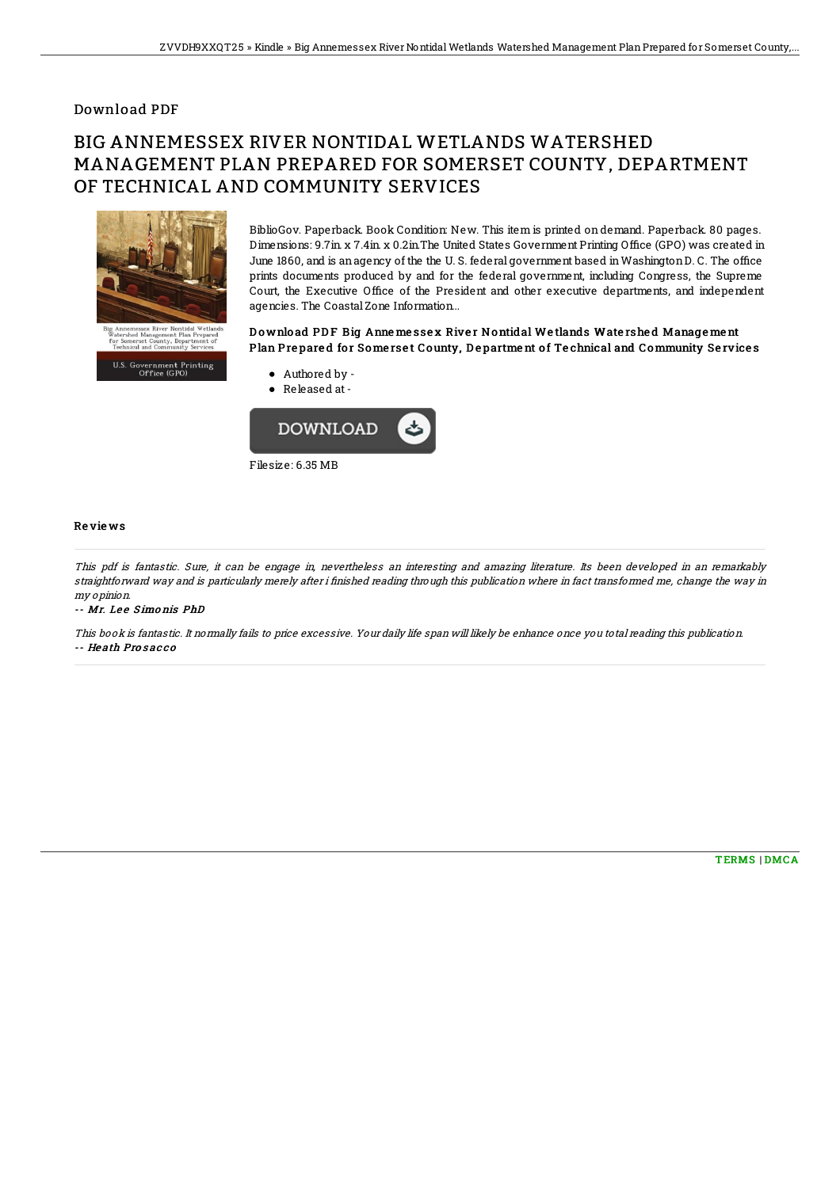## Download PDF

# BIG ANNEMESSEX RIVER NONTIDAL WETLANDS WATERSHED MANAGEMENT PLAN PREPARED FOR SOMERSET COUNTY, DEPARTMENT OF TECHNICAL AND COMMUNITY SERVICES



BiblioGov. Paperback. Book Condition: New. This item is printed on demand. Paperback. 80 pages. Dimensions: 9.7in. x 7.4in. x 0.2in. The United States Government Printing Office (GPO) was created in June 1860, and is an agency of the the U.S. federal government based in Washington D.C. The office prints documents produced by and for the federal government, including Congress, the Supreme Court, the Executive Office of the President and other executive departments, and independent agencies. The Coastal Zone Information...

### Download PDF Big Anne messex River Nontidal Wetlands Watershed Management Plan Prepared for Somerset County, Department of Technical and Community Services

- Authored by
	- Released at-



#### Re vie ws

This pdf is fantastic. Sure, it can be engage in, nevertheless an interesting and amazing literature. Its been developed in an remarkably straightforward way and is particularly merely after i finished reading through this publication where in fact transformed me, change the way in my opinion.

#### -- Mr. Lee Simonis PhD

This book is fantastic. It normally fails to price excessive. Your daily life span will likely be enhance once you total reading this publication. -- He ath Pro s ac c o